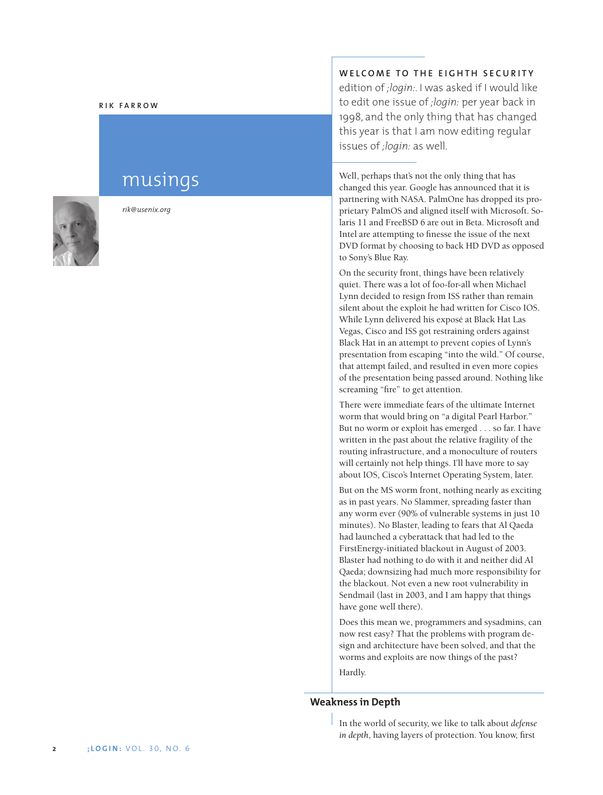#### **R IK FARROW**

# musings



*rik@usenix.org*

# **WELCOME TO THE EIGHTH SECURITY**

edition of *;login:*. I was asked if I would like to edit one issue of *;login:* per year back in 1998, and the only thing that has changed this year is that I am now editing regular issues of *;login:* as well.

Well, perhaps that's not the only thing that has changed this year. Google has announced that it is partnering with NASA. PalmOne has dropped its proprietary PalmOS and aligned itself with Microsoft. Solaris 11 and FreeBSD 6 are out in Beta. Microsoft and Intel are attempting to finesse the issue of the next DVD format by choosing to back HD DVD as opposed to Sony's Blue Ray.

On the security front, things have been relatively quiet. There was a lot of foo-for-all when Michael Lynn decided to resign from ISS rather than remain silent about the exploit he had written for Cisco IOS. While Lynn delivered his exposé at Black Hat Las Vegas, Cisco and ISS got restraining orders against Black Hat in an attempt to prevent copies of Lynn's presentation from escaping "into the wild." Of course, that attempt failed, and resulted in even more copies of the presentation being passed around. Nothing like screaming "fire" to get attention.

There were immediate fears of the ultimate Internet worm that would bring on "a digital Pearl Harbor." But no worm or exploit has emerged . . . so far. I have written in the past about the relative fragility of the routing infrastructure, and a monoculture of routers will certainly not help things. I'll have more to say about IOS, Cisco's Internet Operating System, later.

But on the MS worm front, nothing nearly as exciting as in past years. No Slammer, spreading faster than any worm ever (90% of vulnerable systems in just 10 minutes). No Blaster, leading to fears that Al Qaeda had launched a cyberattack that had led to the FirstEnergy-initiated blackout in August of 2003. Blaster had nothing to do with it and neither did Al Qaeda; downsizing had much more responsibility for the blackout. Not even a new root vulnerability in Sendmail (last in 2003, and I am happy that things have gone well there).

Does this mean we, programmers and sysadmins, can now rest easy? That the problems with program design and architecture have been solved, and that the worms and exploits are now things of the past? Hardly.

#### **Weakness in Depth**

In the world of security, we like to talk about *defense in depth*, having layers of protection. You know, first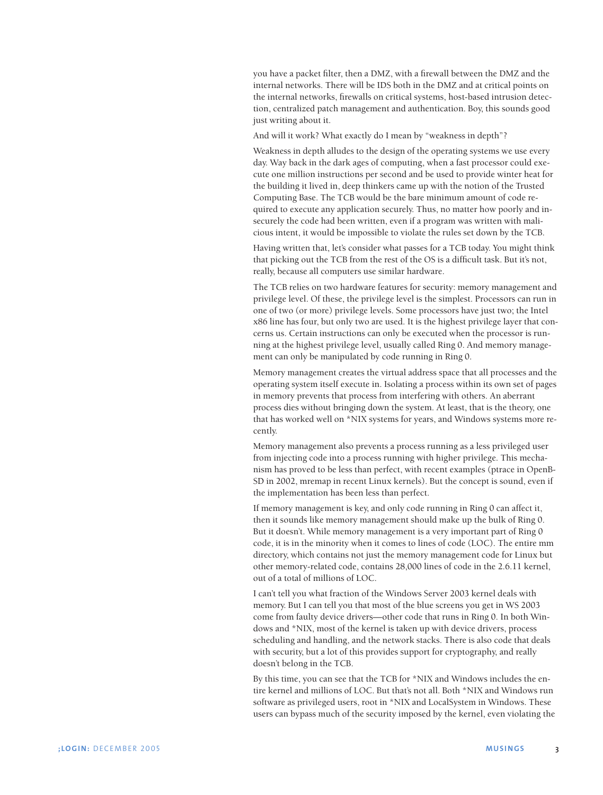you have a packet filter, then a DMZ, with a firewall between the DMZ and the internal networks. There will be IDS both in the DMZ and at critical points on the internal networks, firewalls on critical systems, host-based intrusion detection, centralized patch management and authentication. Boy, this sounds good just writing about it.

And will it work? What exactly do I mean by "weakness in depth"?

Weakness in depth alludes to the design of the operating systems we use every day. Way back in the dark ages of computing, when a fast processor could execute one million instructions per second and be used to provide winter heat for the building it lived in, deep thinkers came up with the notion of the Trusted Computing Base. The TCB would be the bare minimum amount of code required to execute any application securely. Thus, no matter how poorly and insecurely the code had been written, even if a program was written with malicious intent, it would be impossible to violate the rules set down by the TCB.

Having written that, let's consider what passes for a TCB today. You might think that picking out the TCB from the rest of the OS is a difficult task. But it's not, really, because all computers use similar hardware.

The TCB relies on two hardware features for security: memory management and privilege level. Of these, the privilege level is the simplest. Processors can run in one of two (or more) privilege levels. Some processors have just two; the Intel x86 line has four, but only two are used. It is the highest privilege layer that concerns us. Certain instructions can only be executed when the processor is running at the highest privilege level, usually called Ring 0. And memory management can only be manipulated by code running in Ring 0.

Memory management creates the virtual address space that all processes and the operating system itself execute in. Isolating a process within its own set of pages in memory prevents that process from interfering with others. An aberrant process dies without bringing down the system. At least, that is the theory, one that has worked well on \*NIX systems for years, and Windows systems more recently.

Memory management also prevents a process running as a less privileged user from injecting code into a process running with higher privilege. This mechanism has proved to be less than perfect, with recent examples (ptrace in OpenB-SD in 2002, mremap in recent Linux kernels). But the concept is sound, even if the implementation has been less than perfect.

If memory management is key, and only code running in Ring 0 can affect it, then it sounds like memory management should make up the bulk of Ring 0. But it doesn't. While memory management is a very important part of Ring 0 code, it is in the minority when it comes to lines of code (LOC). The entire mm directory, which contains not just the memory management code for Linux but other memory-related code, contains 28,000 lines of code in the 2.6.11 kernel, out of a total of millions of LOC.

I can't tell you what fraction of the Windows Server 2003 kernel deals with memory. But I can tell you that most of the blue screens you get in WS 2003 come from faulty device drivers—other code that runs in Ring 0. In both Windows and \*NIX, most of the kernel is taken up with device drivers, process scheduling and handling, and the network stacks. There is also code that deals with security, but a lot of this provides support for cryptography, and really doesn't belong in the TCB.

By this time, you can see that the TCB for \*NIX and Windows includes the entire kernel and millions of LOC. But that's not all. Both \*NIX and Windows run software as privileged users, root in \*NIX and LocalSystem in Windows. These users can bypass much of the security imposed by the kernel, even violating the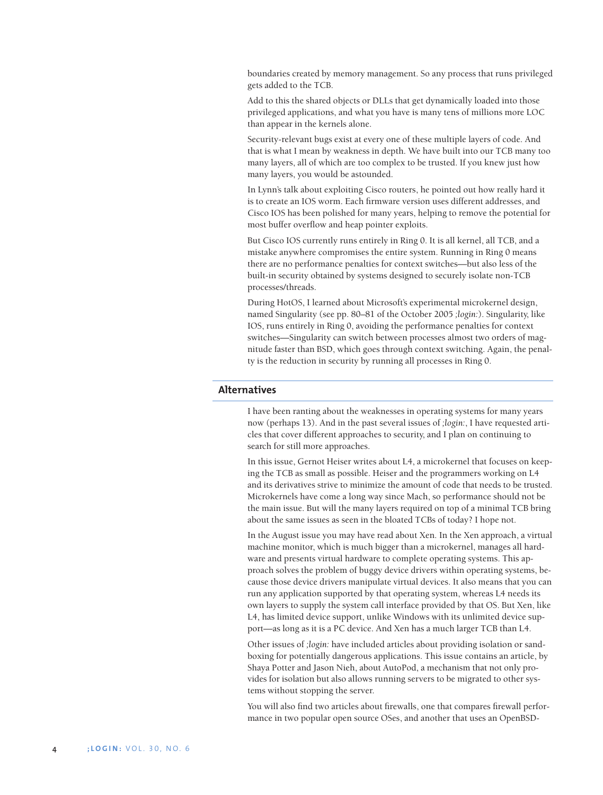boundaries created by memory management. So any process that runs privileged gets added to the TCB.

Add to this the shared objects or DLLs that get dynamically loaded into those privileged applications, and what you have is many tens of millions more LOC than appear in the kernels alone.

Security-relevant bugs exist at every one of these multiple layers of code. And that is what I mean by weakness in depth. We have built into our TCB many too many layers, all of which are too complex to be trusted. If you knew just how many layers, you would be astounded.

In Lynn's talk about exploiting Cisco routers, he pointed out how really hard it is to create an IOS worm. Each firmware version uses different addresses, and Cisco IOS has been polished for many years, helping to remove the potential for most buffer overflow and heap pointer exploits.

But Cisco IOS currently runs entirely in Ring 0. It is all kernel, all TCB, and a mistake anywhere compromises the entire system. Running in Ring 0 means there are no performance penalties for context switches—but also less of the built-in security obtained by systems designed to securely isolate non-TCB processes/threads.

During HotOS, I learned about Microsoft's experimental microkernel design, named Singularity (see pp. 80–81 of the October 2005 *;login:*). Singularity, like IOS, runs entirely in Ring 0, avoiding the performance penalties for context switches—Singularity can switch between processes almost two orders of magnitude faster than BSD, which goes through context switching. Again, the penalty is the reduction in security by running all processes in Ring 0.

## **Alternatives**

I have been ranting about the weaknesses in operating systems for many years now (perhaps 13). And in the past several issues of *;login:*, I have requested articles that cover different approaches to security, and I plan on continuing to search for still more approaches.

In this issue, Gernot Heiser writes about L4, a microkernel that focuses on keeping the TCB as small as possible. Heiser and the programmers working on L4 and its derivatives strive to minimize the amount of code that needs to be trusted. Microkernels have come a long way since Mach, so performance should not be the main issue. But will the many layers required on top of a minimal TCB bring about the same issues as seen in the bloated TCBs of today? I hope not.

In the August issue you may have read about Xen. In the Xen approach, a virtual machine monitor, which is much bigger than a microkernel, manages all hardware and presents virtual hardware to complete operating systems. This approach solves the problem of buggy device drivers within operating systems, because those device drivers manipulate virtual devices. It also means that you can run any application supported by that operating system, whereas L4 needs its own layers to supply the system call interface provided by that OS. But Xen, like L4, has limited device support, unlike Windows with its unlimited device support—as long as it is a PC device. And Xen has a much larger TCB than L4.

Other issues of *;login:* have included articles about providing isolation or sandboxing for potentially dangerous applications. This issue contains an article, by Shaya Potter and Jason Nieh, about AutoPod, a mechanism that not only provides for isolation but also allows running servers to be migrated to other systems without stopping the server.

You will also find two articles about firewalls, one that compares firewall performance in two popular open source OSes, and another that uses an OpenBSD-